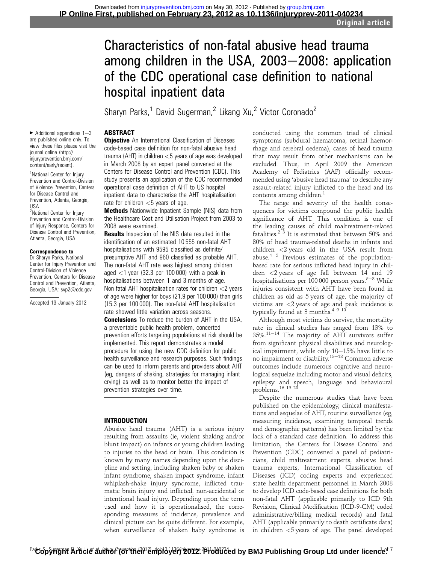# Characteristics of non-fatal abusive head trauma among children in the USA,  $2003-2008$ : application of the CDC operational case definition to national hospital inpatient data

Sharyn Parks,<sup>1</sup> David Sugerman,<sup>2</sup> Likang Xu,<sup>2</sup> Victor Coronado<sup>2</sup>

 $\blacktriangleright$  Additional appendices 1-3 are published online only. To view these files please visit the journal online (http:// injuryprevention.bmj.com/ content/early/recent).

<sup>1</sup>National Center for Injury Prevention and Control-Division of Violence Prevention, Centers for Disease Control and Prevention, Atlanta, Georgia, USA

<sup>2</sup>National Center for Injury Prevention and Control-Division of Injury Response, Centers for Disease Control and Prevention, Atlanta, Georgia, USA

#### Correspondence to

Dr Sharyn Parks, National Center for Injury Prevention and Control-Division of Violence Prevention, Centers for Disease Control and Prevention, Atlanta, Georgia, USA; svp2@cdc.gov

Accepted 13 January 2012

## ABSTRACT

**Objective** An International Classification of Diseases code-based case definition for non-fatal abusive head trauma (AHT) in children  $<$  5 years of age was developed in March 2008 by an expert panel convened at the Centers for Disease Control and Prevention (CDC). This study presents an application of the CDC recommended operational case definition of AHT to US hospital inpatient data to characterise the AHT hospitalisation rate for children  $<$  5 years of age.

Methods Nationwide Inpatient Sample (NIS) data from the Healthcare Cost and Utilisation Project from 2003 to 2008 were examined.

**Results** Inspection of the NIS data resulted in the identification of an estimated 10 555 non-fatal AHT hospitalisations with 9595 classified as definite/ presumptive AHT and 960 classified as probable AHT. The non-fatal AHT rate was highest among children aged  $<$ 1 year (32.3 per 100 000) with a peak in hospitalisations between 1 and 3 months of age. Non-fatal AHT hospitalisation rates for children <2 years of age were higher for boys (21.9 per 100 000) than girls (15.3 per 100 000). The non-fatal AHT hospitalisation rate showed little variation across seasons.

**Conclusions** To reduce the burden of AHT in the USA, a preventable public health problem, concerted prevention efforts targeting populations at risk should be implemented. This report demonstrates a model procedure for using the new CDC definition for public health surveillance and research purposes. Such findings can be used to inform parents and providers about AHT (eg, dangers of shaking, strategies for managing infant crying) as well as to monitor better the impact of prevention strategies over time.

### INTRODUCTION

Abusive head trauma (AHT) is a serious injury resulting from assaults (ie, violent shaking and/or blunt impact) on infants or young children leading to injuries to the head or brain. This condition is known by many names depending upon the discipline and setting, including shaken baby or shaken infant syndrome, shaken impact syndrome, infant whiplash-shake injury syndrome, inflicted traumatic brain injury and inflicted, non-accidental or intentional head injury. Depending upon the term used and how it is operationalised, the corresponding measures of incidence, prevalence and clinical picture can be quite different. For example, when surveillance of shaken baby syndrome is conducted using the common triad of clinical symptoms (subdural haematoma, retinal haemorrhage and cerebral oedema), cases of head trauma that may result from other mechanisms can be excluded. Thus, in April 2009 the American Academy of Pediatrics (AAP) officially recommended using 'abusive head trauma' to describe any assault-related injury inflicted to the head and its contents among children.<sup>1</sup>

The range and severity of the health consequences for victims compound the public health significance of AHT. This condition is one of the leading causes of child maltreatment-related fatalities.<sup>2  $\overline{3}$ </sup> It is estimated that between 50% and 80% of head trauma-related deaths in infants and children <2 years old in the USA result from abuse. $4\frac{5}{7}$  Previous estimates of the populationbased rate for serious inflicted head injury in children <2 years of age fall between 14 and 19 hospitalisations per  $100000$  person years.<sup>5-8</sup> While injuries consistent with AHT have been found in children as old as 5 years of age, the majority of victims are  $\langle 2 \rangle$  years of age and peak incidence is typically found at 3 months.<sup>4 9 10</sup>

Although most victims do survive, the mortality rate in clinical studies has ranged from 13% to  $35\%$ .<sup>11-14</sup> The majority of AHT survivors suffer from significant physical disabilities and neurological impairment, while only  $10-15%$  have little to no impairment or disability.<sup>15-18</sup> Common adverse outcomes include numerous cognitive and neurological sequelae including motor and visual deficits, epilepsy and speech, language and behavioural problems.<sup>16 19 20</sup>

Despite the numerous studies that have been published on the epidemiology, clinical manifestations and sequelae of AHT, routine surveillance (eg, measuring incidence, examining temporal trends and demographic patterns) has been limited by the lack of a standard case definition. To address this limitation, the Centers for Disease Control and Prevention (CDC) convened a panel of pediatricians, child maltreatment experts, abusive head trauma experts, International Classification of Diseases (ICD) coding experts and experienced state health department personnel in March 2008 to develop ICD code-based case definitions for both non-fatal AHT (applicable primarily to ICD 9th Revision, Clinical Modification (ICD-9-CM) coded administrative/billing medical records) and fatal AHT (applicable primarily to death certificate data) in children <5 years of age. The panel developed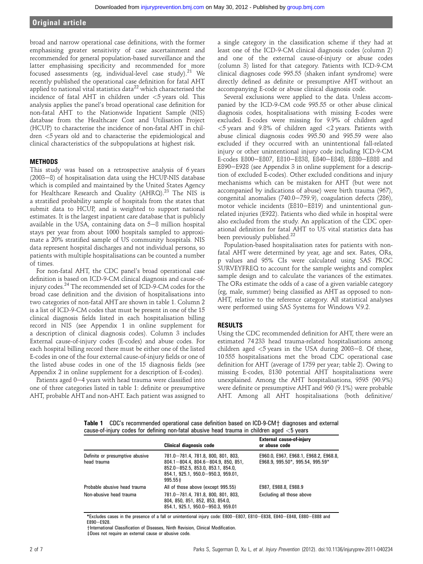# Original article

broad and narrow operational case definitions, with the former emphasising greater sensitivity of case ascertainment and recommended for general population-based surveillance and the latter emphasising specificity and recommended for more focused assessments (eg, individual-level case study).<sup>21</sup> We recently published the operational case definition for fatal AHT applied to national vital statistics data<sup>22</sup> which characterised the incidence of fatal AHT in children under  $<$ 5 years old. This analysis applies the panel's broad operational case definition for non-fatal AHT to the Nationwide Inpatient Sample (NIS) database from the Healthcare Cost and Utilisation Project (HCUP) to characterise the incidence of non-fatal AHT in children <5 years old and to characterise the epidemiological and clinical characteristics of the subpopulations at highest risk.

## **METHODS**

This study was based on a retrospective analysis of 6 years  $(2003-8)$  of hospitalisation data using the HCUP-NIS database which is compiled and maintained by the United States Agency for Healthcare Research and Quality (AHRQ).<sup>23</sup> The NIS is a stratified probability sample of hospitals from the states that submit data to HCUP, and is weighted to support national estimates. It is the largest inpatient care database that is publicly available in the USA, containing data on  $5-8$  million hospital stays per year from about 1000 hospitals sampled to approximate a 20% stratified sample of US community hospitals. NIS data represent hospital discharges and not individual persons, so patients with multiple hospitalisations can be counted a number of times.

For non-fatal AHT, the CDC panel's broad operational case definition is based on ICD-9-CM clinical diagnosis and cause-ofinjury codes.<sup>24</sup> The recommended set of ICD-9-CM codes for the broad case definition and the division of hospitalisations into two categories of non-fatal AHT are shown in table 1. Column 2 is a list of ICD-9-CM codes that must be present in one of the 15 clinical diagnosis fields listed in each hospitalisation billing record in NIS (see Appendix 1 in online supplement for a description of clinical diagnosis codes). Column 3 includes External cause-of-injury codes (E-codes) and abuse codes. For each hospital billing record there must be either one of the listed E-codes in one of the four external cause-of-injury fields or one of the listed abuse codes in one of the 15 diagnosis fields (see Appendix 2 in online supplement for a description of E-codes).

Patients aged 0-4 years with head trauma were classified into one of three categories listed in table 1: definite or presumptive AHT, probable AHT and non-AHT. Each patient was assigned to

a single category in the classification scheme if they had at least one of the ICD-9-CM clinical diagnosis codes (column 2) and one of the external cause-of-injury or abuse codes (column 3) listed for that category. Patients with ICD-9-CM clinical diagnoses code 995.55 (shaken infant syndrome) were directly defined as definite or presumptive AHT without an accompanying E-code or abuse clinical diagnosis code.

Several exclusions were applied to the data. Unless accompanied by the ICD-9-CM code 995.55 or other abuse clinical diagnosis codes, hospitalisations with missing E-codes were excluded. E-codes were missing for 9.9% of children aged  $<$ 5 years and 9.8% of children aged  $<$ 2 years. Patients with abuse clinical diagnosis codes 995.50 and 995.59 were also excluded if they occurred with an unintentional fall-related injury or other unintentional injury code including ICD-9-CM E-codes E800-E807, E810-E838, E840-E848, E880-E888 and E890 $-$ E928 (see Appendix 3 in online supplement for a description of excluded E-codes). Other excluded conditions and injury mechanisms which can be mistaken for AHT (but were not accompanied by indications of abuse) were birth trauma (967), congenital anomalies  $(740.0-759.9)$ , coagulation defects  $(286)$ , motor vehicle incidents (E810-E819) and unintentional gunrelated injuries (E922). Patients who died while in hospital were also excluded from the study. An application of the CDC operational definition for fatal AHT to US vital statistics data has been previously published.<sup>22</sup>

Population-based hospitalisation rates for patients with nonfatal AHT were determined by year, age and sex. Rates, ORs, p values and 95% CIs were calculated using SAS PROC SURVEYFREQ to account for the sample weights and complex sample design and to calculate the variances of the estimates. The ORs estimate the odds of a case of a given variable category (eg, male, summer) being classified as AHT as opposed to non-AHT, relative to the reference category. All statistical analyses were performed using SAS Systems for Windows V.9.2.

## RESULTS

Using the CDC recommended definition for AHT, there were an estimated 74 233 head trauma-related hospitalisations among children aged  $\leq$ 5 years in the USA during 2003-8. Of these, 10 555 hospitalisations met the broad CDC operational case definition for AHT (average of 1759 per year; table 2). Owing to missing E-codes, 8130 potential AHT hospitalisations were unexplained. Among the AHT hospitalisations, 9595 (90.9%) were definite or presumptive AHT and 960 (9.1%) were probable AHT. Among all AHT hospitalisations (both definitive/

Table 1 CDC's recommended operational case definition based on ICD-9-CM+ diagnoses and external cause-of-injury codes for defining non-fatal abusive head trauma in children aged  $<$  5 years

|                                                | <b>Clinical diagnosis code</b>                                                                                                                                                             | <b>External cause-of-injury</b><br>or abuse code                          |
|------------------------------------------------|--------------------------------------------------------------------------------------------------------------------------------------------------------------------------------------------|---------------------------------------------------------------------------|
| Definite or presumptive abusive<br>head trauma | 781.0-781.4, 781.8, 800, 801, 803,<br>$804.1 - 804.4$ , $804.6 - 804.9$ , $850$ , $851$ ,<br>$852.0 - 852.5, 853.0, 853.1, 854.0,$<br>854.1, 925.1, 950.0 - 950.3, 959.01,<br>$995.55 \pm$ | E960.0, E967, E968.1, E968.2, E968.8,<br>E968.9, 995.50*, 995.54, 995.59* |
| Probable abusive head trauma                   | All of those above (except 995.55)                                                                                                                                                         | E987, E988.8, E988.9                                                      |
| Non-abusive head trauma                        | 781.0-781.4, 781.8, 800, 801, 803,<br>804, 850, 851, 852, 853, 854.0,<br>854.1, 925.1, 950.0-950.3, 959.01                                                                                 | Excluding all those above                                                 |

\*Excludes cases in the presence of a fall or unintentional injury code: E800-E807, E810-E838, E840-E848, E880-E888 and E890-E928.

†International Classification of Diseases, Ninth Revision, Clinical Modification.

 $\pm$ Does not require an external cause or abusive code.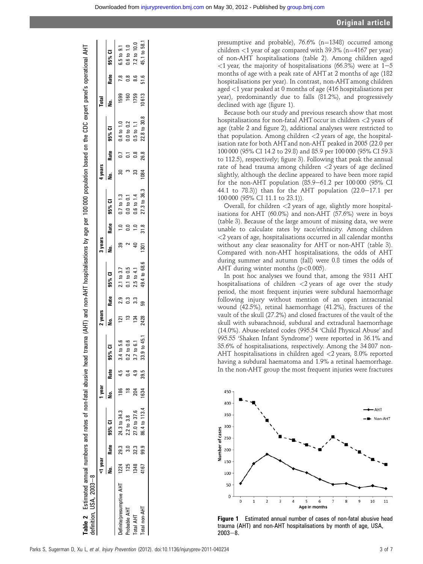presumptive and probable),  $76.6\%$  (n=1348) occurred among children  $\langle 1 \rangle$  year of age compared with 39.3% (n=4167 per year) of non-AHT hospitalisations (table 2). Among children aged  $\langle$ 1 year, the majority of hospitalisations (66.3%) were at 1-5 months of age with a peak rate of AHT at 2 months of age (182 hospitalisations per year). In contrast, non-AHT among children aged <1 year peaked at 0 months of age (416 hospitalisations per year), predominantly due to falls (81.2%), and progressively declined with age (figure 1).

Because both our study and previous research show that most hospitalisations for non-fatal AHT occur in children <2 years of age (table 2 and figure 2), additional analyses were restricted to that population. Among children  $<$ 2 years of age, the hospitalisation rate for both AHT and non-AHT peaked in 2005 (22.0 per 100 000 (95% CI 14.2 to 29.8) and 85.9 per 100 000 (95% CI 59.3 to 112.5), respectively; figure 3). Following that peak the annual rate of head trauma among children <2 years of age declined slightly, although the decline appeared to have been more rapid for the non-AHT population  $(85.9-61.2$  per 100 000  $(95\%$  CI 44.1 to 78.3)) than for the AHT population  $(22.0-17.1$  per 100 000 (95% CI 11.1 to 23.1)).

Overall, for children <2 years of age, slightly more hospitalisations for AHT (60.0%) and non-AHT (57.6%) were in boys (table 3). Because of the large amount of missing data, we were unable to calculate rates by race/ethnicity. Among children <2 years of age, hospitalisations occurred in all calendar months without any clear seasonality for AHT or non-AHT (table 3). Compared with non-AHT hospitalisations, the odds of AHT during summer and autumn (fall) were 0.8 times the odds of AHT during winter months  $(p<0.005)$ .

In post hoc analyses we found that, among the 9311 AHT hospitalisations of children <2 years of age over the study period, the most frequent injuries were subdural haemorrhage following injury without mention of an open intracranial wound (42.5%), retinal haemorrhage (41.2%), fractures of the vault of the skull (27.2%) and closed fractures of the vault of the skull with subarachnoid, subdural and extradural haemorrhage (14.0%). Abuse-related codes (995.54 'Child Physical Abuse' and 995.55 'Shaken Infant Syndrome') were reported in 36.1% and 35.6% of hospitalisations, respectively. Among the 34 807 non-AHT hospitalisations in children aged <2 years, 8.0% reported having a subdural haematoma and 1.9% a retinal haemorrhage. In the non-AHT group the most frequent injuries were fractures



Figure 1 Estimated annual number of cases of non-fatal abusive head trauma (AHT) and non-AHT hospitalisations by month of age, USA,  $2003 - 8.$ 

|                         | <1 year |      |                 | 1 year |            |                    | 2 years        |     |                       | 3 years |                                          |                      | 4 years |                          |                 | Total  |                |                |
|-------------------------|---------|------|-----------------|--------|------------|--------------------|----------------|-----|-----------------------|---------|------------------------------------------|----------------------|---------|--------------------------|-----------------|--------|----------------|----------------|
|                         |         |      | No. Rate 95% CI |        |            | No. Rate 95% Cl    |                |     | No. Rate 95% CI       | .<br>ئا |                                          | Rate 95% CI          |         |                          | No. Rate 95% CI | ف<br>ح |                | Rate 95% CI    |
| efinite/presumptive AHT | 1224    | 29.3 | 24.3 to 34.3    | 88     | 4.5        | 3.4 to 5.6         | $\overline{2}$ | 2.9 | 2.1 to 3.7            |         | $\begin{array}{c} 1.0 \\ 39 \end{array}$ | $0.7$ to $1.3$       |         | $30 \qquad 0.7 \qquad t$ | $0.4$ to $1.0$  | 1599   | 7.8            | 6.5 to 9.1     |
| Trobable AHT            | 125     | 3.0  | 2.2 to 3.8      | ≌      |            | 100.6<br>$\approx$ |                | 0.3 | $0.1 \text{ to } 0.5$ |         | $\frac{0}{2}$                            | $0.0\ {\rm to}\ 0.1$ |         | 51                       | $0.0$ to $0.2$  | 160    | $\frac{8}{10}$ | $0.6$ to $1.0$ |
| <b>Total AHT</b>        | 1348    | 32.3 | 27.0 to 37.6    | 204    | $\ddot{a}$ | to $6.1$           | 134            | 3.3 | $2.5$ to $4.1$        | ₽       | $\frac{1}{2}$                            | $0.6$ to $1.4$       | 33      | $0.\overline{8}$         | 0.5 to 1.1      | 1759   | 8.6            | 7.2 to 10.0    |
| Total non-AHT           | 4167    | 99.9 | 86.4 to 113.4   | 1634   | 39.5       | 33.9 to 45.1       | 2428           | 59  | 49.4 to 68.6          | 1301    | 31.8                                     | 27.3 to 36.3         | 1084    | 26.8                     | 22.8 to 30.8    | 10613  | 51.6           | 45.1 to 58.1   |

ě

Č

 $\mathbf{\hat{t}}$ š

 $\mathbf{I}$  $\cdot$ þ J.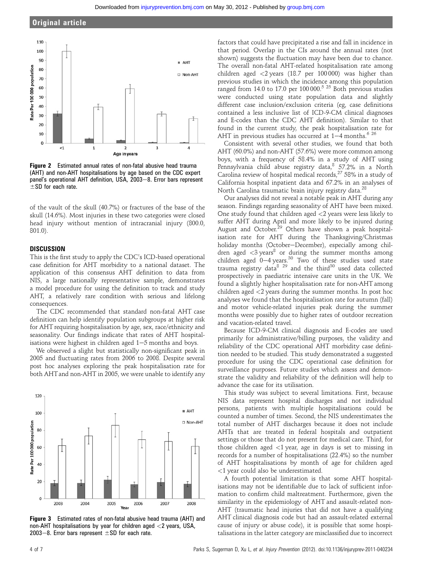# Original article



**Figure 2** Estimated annual rates of non-fatal abusive head trauma (AHT) and non-AHT hospitalisations by age based on the CDC expert panel's operational AHT definition, USA, 2003-8. Error bars represent  $\pm$ SD for each rate.

of the vault of the skull (40.7%) or fractures of the base of the skull (14.6%). Most injuries in these two categories were closed head injury without mention of intracranial injury (800.0, 801.0).

## **DISCUSSION**

This is the first study to apply the CDC's ICD-based operational case definition for AHT morbidity to a national dataset. The application of this consensus AHT definition to data from NIS, a large nationally representative sample, demonstrates a model procedure for using the definition to track and study AHT, a relatively rare condition with serious and lifelong consequences.

The CDC recommended that standard non-fatal AHT case definition can help identify population subgroups at higher risk for AHT requiring hospitalisation by age, sex, race/ethnicity and seasonality. Our findings indicate that rates of AHT hospitalisations were highest in children aged  $1-5$  months and boys.

We observed a slight but statistically non-significant peak in 2005 and fluctuating rates from 2006 to 2008. Despite several post hoc analyses exploring the peak hospitalisation rate for both AHTand non-AHT in 2005, we were unable to identify any



Figure 3 Estimated rates of non-fatal abusive head trauma (AHT) and non-AHT hospitalisations by year for children aged <2 years, USA, 2003–8. Error bars represent  $\pm$ SD for each rate.

factors that could have precipitated a rise and fall in incidence in that period. Overlap in the CIs around the annual rates (not shown) suggests the fluctuation may have been due to chance. The overall non-fatal AHT-related hospitalisation rate among children aged  $\langle 2 \rangle$  years (18.7 per 100000) was higher than previous studies in which the incidence among this population ranged from 14.0 to 17.0 per  $100\,000$ .<sup>5 25</sup> Both previous studies were conducted using state population data and slightly different case inclusion/exclusion criteria (eg, case definitions contained a less inclusive list of ICD-9-CM clinical diagnoses and E-codes than the CDC AHT definition). Similar to that found in the current study, the peak hospitalisation rate for AHT in previous studies has occurred at  $1-4$  months.<sup>6 26</sup>

Consistent with several other studies, we found that both AHT (60.0%) and non-AHT (57.6%) were more common among boys, with a frequency of 58.4% in a study of AHT using Pennsylvania child abuse registry data,<sup>8</sup> 57.2% in a North Carolina review of hospital medical records,<sup>27</sup> 58% in a study of California hospital inpatient data and 67.2% in an analyses of North Carolina traumatic brain injury registry data.<sup>28</sup>

Our analyses did not reveal a notable peak in AHT during any season. Findings regarding seasonality of AHT have been mixed. One study found that children aged <2 years were less likely to suffer AHT during April and more likely to be injured during August and October.<sup>29</sup> Others have shown a peak hospitalisation rate for AHT during the Thanksgiving/Christmas holiday months (October-December), especially among children aged  $\langle 3 \rangle$  years<sup>8</sup> or during the summer months among children aged  $0-4$  years.<sup>30</sup> Two of these studies used state trauma registry data<sup>8 29</sup> and the third<sup>30</sup> used data collected prospectively in paediatric intensive care units in the UK. We found a slightly higher hospitalisation rate for non-AHT among children aged <2 years during the summer months. In post hoc analyses we found that the hospitalisation rate for autumn (fall) and motor vehicle-related injuries peak during the summer months were possibly due to higher rates of outdoor recreation and vacation-related travel.

Because ICD-9-CM clinical diagnosis and E-codes are used primarily for administrative/billing purposes, the validity and reliability of the CDC operational AHT morbidity case definition needed to be studied. This study demonstrated a suggested procedure for using the CDC operational case definition for surveillance purposes. Future studies which assess and demonstrate the validity and reliability of the definition will help to advance the case for its utilisation.

This study was subject to several limitations. First, because NIS data represent hospital discharges and not individual persons, patients with multiple hospitalisations could be counted a number of times. Second, the NIS underestimates the total number of AHT discharges because it does not include AHTs that are treated in federal hospitals and outpatient settings or those that do not present for medical care. Third, for those children aged <1 year, age in days is set to missing in records for a number of hospitalisations (22.4%) so the number of AHT hospitalisations by month of age for children aged <1 year could also be underestimated.

A fourth potential limitation is that some AHT hospitalisations may not be identifiable due to lack of sufficient information to confirm child maltreatment. Furthermore, given the similarity in the epidemiology of AHT and assault-related non-AHT (traumatic head injuries that did not have a qualifying AHT clinical diagnosis code but had an assault-related external cause of injury or abuse code), it is possible that some hospitalisations in the latter category are misclassified due to incorrect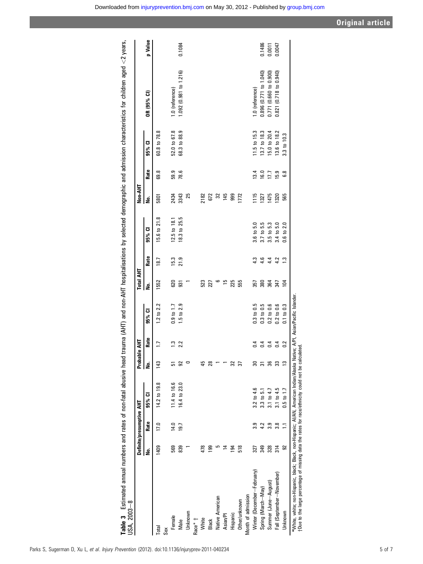|                            |                | Definite/presumptive AHT |                        | Probable A | 퉄              |                | <b>Total AHT</b>           |               |                                 | Non-AHT       |                  |              |                          |         |
|----------------------------|----------------|--------------------------|------------------------|------------|----------------|----------------|----------------------------|---------------|---------------------------------|---------------|------------------|--------------|--------------------------|---------|
|                            | ġ              | Rate                     | ō<br>95%               | <u>ؤ</u>   | Rate           | 95% CI         | ġ                          | Rate          | ō<br>95%                        | <u>ؤ</u>      | Rate             | ō<br>95%     | OR (95% CI)              | p Value |
| Total                      | 1409           | 17.0                     | 14.2 to 19.8           | 143        | Ľ.             | 1.2 to 2.2     | 1552                       | 18.7          | 21.8<br>15.6 to 3               | 5801          | 69.8             | 60.8 to 78.8 |                          |         |
| Sex                        |                |                          |                        |            |                |                |                            |               |                                 |               |                  |              |                          |         |
| Female                     | 569            | 14.0                     | 11.4 to 16.6           | 5          |                | 0.9 to 1.7     | 620                        | 15.3          | 2.5 to 18.1                     | 2434          | 59.9             | 52.0 to 67.8 | I.0 (reference)          |         |
| Male                       | 839            | 19.7                     | 16.4 to 23.0           | 92         | نی نب          | 1.5 to 2.9     | $\overline{31}$            | 21.9          | 25.5<br>18.3 to 3               | 3343          | 78.6             | 68.3 to 88.9 | $1.092$ (0.981 to 1.216) | 0.1084  |
| Unknown                    |                |                          |                        | $\circ$    |                |                |                            |               |                                 | 25            |                  |              |                          |         |
| Race* †                    |                |                          |                        |            |                |                |                            |               |                                 |               |                  |              |                          |         |
| White                      | 478            |                          |                        | 45         |                |                | 523                        |               |                                 | 2182          |                  |              |                          |         |
| Black                      | 199            |                          |                        | $^{28}$    |                |                |                            |               |                                 |               |                  |              |                          |         |
| Native American            |                |                          |                        |            |                |                | $227$ 6<br>$15$ 6<br>$225$ |               |                                 | <b>2</b> 32 F |                  |              |                          |         |
| <b>Asian/Pl</b>            | $\overline{1}$ |                          |                        |            |                |                |                            |               |                                 |               |                  |              |                          |         |
| Hispanic                   | 194            |                          |                        | 32         |                |                |                            |               |                                 | 999           |                  |              |                          |         |
| Other/unknown              | 518            |                          |                        | 55         |                |                | 555                        |               |                                 | 1772          |                  |              |                          |         |
| Month of admission         |                |                          |                        |            |                |                |                            |               |                                 |               |                  |              |                          |         |
| Winter (December-February) | 327            | 3.9                      | $3.2 \text{ to } 4.6$  | వి         | 4              | 0.3 to 0.5     | 357                        | 4.3           | 5.0<br>3.6 <sub>to</sub>        | 1115          | 13.4             | 11.5 to 15.3 | I.0 (reference)          |         |
| Spring (March-May)         | 349            | 4.2                      | 5<br>3.3 <sub>to</sub> | ్          | $\overline{a}$ | $0.3$ to $0.5$ | 380                        | 4.6           | 5.5<br>3.7 <sub>to</sub>        | 1327          |                  | 13.7 to 18.3 | 0.896 (0.771 to 1.040)   | 0.1486  |
| Summer (June-August)       | 328            | $3.\overline{9}$         | 3.1 to $4.7$           | 36         | $\overline{a}$ | $0.2$ to $0.6$ | 364                        | 4.4           | 5.3<br>₽<br>3.5                 | 1475          | $\frac{1}{17}$   | 5.0 to 20.4  | 0.771 (0.660 to 0.900)   | 0.0011  |
| Fall (September-November)  | 314            | 3.8                      | $3.1 \text{ to } 4.5$  | 33         | $\overline{a}$ | $0.2$ to $0.6$ | 347                        | 4.2           | 5.0<br>$\overline{a}$<br>3.4    | 1320          | 5.3              | 13.6 to 18.2 | 0.940<br>0.821 (0.718 to | 0.0047  |
| Unknown                    | 92             | Ξ                        | $0.5$ to $1.7$         | ൚          | Ż,             | 0.1 to 0.3     | 104                        | $\frac{3}{2}$ | 2.0<br>$\mathbf{a}$<br>co.<br>ö | 565           | $\overline{6.8}$ | 3.3 to 10.3  |                          |         |

Downloaded from [injuryprevention.bmj.com](http://injuryprevention.bmj.com/) on May 30, 2012 - Published by [group.bmj.com](http://group.bmj.com/)

Original article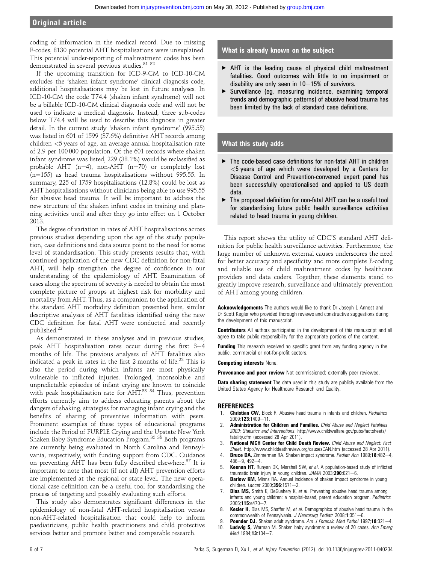# Original article

coding of information in the medical record. Due to missing E-codes, 8130 potential AHT hospitalisations were unexplained. This potential under-reporting of maltreatment codes has been demonstrated in several previous studies.<sup>31 32</sup>

If the upcoming transition for ICD-9-CM to ICD-10-CM excludes the 'shaken infant syndrome' clinical diagnosis code, additional hospitalisations may be lost in future analyses. In ICD-10-CM the code T74.4 (shaken infant syndrome) will not be a billable ICD-10-CM clinical diagnosis code and will not be used to indicate a medical diagnosis. Instead, three sub-codes below T74.4 will be used to describe this diagnosis in greater detail. In the current study 'shaken infant syndrome' (995.55) was listed in 601 of 1599 (37.6%) definitive AHT records among children <5 years of age, an average annual hospitalisation rate of 2.9 per 100 000 population. Of the 601 records where shaken infant syndrome was listed, 229 (38.1%) would be reclassified as probable AHT ( $n=4$ ), non-AHT ( $n=70$ ) or completely lost  $(n=155)$  as head trauma hospitalisations without 995.55. In summary, 225 of 1759 hospitalisations (12.8%) could be lost as AHT hospitalisations without clinicians being able to use 995.55 for abusive head trauma. It will be important to address the new structure of the shaken infant codes in training and planning activities until and after they go into effect on 1 October 2013.

The degree of variation in rates of AHT hospitalisations across previous studies depending upon the age of the study population, case definitions and data source point to the need for some level of standardisation. This study presents results that, with continued application of the new CDC definition for non-fatal AHT, will help strengthen the degree of confidence in our understanding of the epidemiology of AHT. Examination of cases along the spectrum of severity is needed to obtain the most complete picture of groups at highest risk for morbidity and mortality from AHT. Thus, as a companion to the application of the standard AHT morbidity definition presented here, similar descriptive analyses of AHT fatalities identified using the new CDC definition for fatal AHT were conducted and recently published.<sup>22</sup>

As demonstrated in these analyses and in previous studies, peak AHT hospitalisation rates occur during the first  $3-4$ months of life. The previous analyses of AHT fatalities also indicated a peak in rates in the first 2 months of life.<sup>22</sup> This is also the period during which infants are most physically vulnerable to inflicted injuries. Prolonged, inconsolable and unpredictable episodes of infant crying are known to coincide with peak hospitalisation rate for AHT.<sup>33 34</sup> Thus, prevention efforts currently aim to address educating parents about the dangers of shaking, strategies for managing infant crying and the benefits of sharing of preventive information with peers. Prominent examples of these types of educational programs include the Period of PURPLE Crying and the Upstate New York Shaken Baby Syndrome Education Program.<sup>35</sup> 36</sup> Both programs are currently being evaluated in North Carolina and Pennsylvania, respectively, with funding support from CDC. Guidance on preventing AHT has been fully described elsewhere.<sup>37</sup> It is important to note that most (if not all) AHT prevention efforts are implemented at the regional or state level. The new operational case definition can be a useful tool for standardising the process of targeting and possibly evaluating such efforts.

This study also demonstrates significant differences in the epidemiology of non-fatal AHT-related hospitalisation versus non-AHT-related hospitalisation that could help to inform paediatricians, public health practitioners and child protective services better and promote better and comparable research.

## What is already known on the subject

- ▶ AHT is the leading cause of physical child maltreatment fatalities. Good outcomes with little to no impairment or disability are only seen in  $10-15%$  of survivors.
- < Surveillance (eg, measuring incidence, examining temporal trends and demographic patterns) of abusive head trauma has been limited by the lack of standard case definitions.

## What this study adds

- $\blacktriangleright$  The code-based case definitions for non-fatal AHT in children  $<$ 5 years of age which were developed by a Centers for Disease Control and Prevention-convened expert panel has been successfully operationalised and applied to US death data.
- ▶ The proposed definition for non-fatal AHT can be a useful tool for standardising future public health surveillance activities related to head trauma in young children.

This report shows the utility of CDC'S standard AHT definition for public health surveillance activities. Furthermore, the large number of unknown external causes underscores the need for better accuracy and specificity and more complete E-coding and reliable use of child maltreatment codes by healthcare providers and data coders. Together, these elements stand to greatly improve research, surveillance and ultimately prevention of AHT among young children.

Acknowledgements The authors would like to thank Dr Joseph L Annest and Dr Scott Kegler who provided thorough reviews and constructive suggestions during the development of this manuscript.

**Contributors** All authors participated in the development of this manuscript and all agree to take public responsibility for the appropriate portions of the content.

**Funding** This research received no specific grant from any funding agency in the public, commercial or not-for-profit sectors.

### Competing interests None.

Provenance and peer review Not commissioned; externally peer reviewed.

Data sharing statement The data used in this study are publicly available from the United States Agency for Healthcare Research and Quality.

#### REFERENCES

- Christian CW, Block R. Abusive head trauma in infants and children. Pediatrics 2009;123:1409-11.
- Administration for Children and Families. Child Abuse and Neglect Fatalities 2009: Statistics and Interventions. http://www.childwelfare.gov/pubs/factsheets/ fatality.cfm (accessed 28 Apr 2011).
- 3. National MCH Center for Child Death Review. Child Abuse and Neglect: Fact Sheet. http://www.childdeathreview.org/causesCAN.htm (accessed 28 Apr 2011).
- 4. Bruce DA, Zimmerman RA. Shaken impact syndrome. Pediatr Ann 1989;18:482-4,  $486 - 9, 492 - 4.$
- 5. **Keenan HT, Runyan DK, Marshall SW, et al. A population-based study of inflicted** traumatic brain injury in young children. JAMA 2003;290:621-6.
- 6. Barlow KM, Minns RA. Annual incidence of shaken impact syndrome in young children. Lancet 2000; 356:1571-2.
- 7. Dias MS, Smith K, DeGuehery K, et al. Preventing abusive head trauma among infants and young children: a hospital-based, parent education program. Pediatrics  $2005:115:e470 - 7.$
- 8. Kesler H, Dias MS, Shaffer M, et al. Demographics of abusive head trauma in the commonwealth of Pennsylvania. J Neurosurg Pediatr 2008;1:351-6.
- 9. Pounder DJ. Shaken adult syndrome. Am  $\tilde{J}$  Forensic Med Pathol 1997;18:321-4.
- 10. Ludwig S, Warman M. Shaken baby syndrome: a review of 20 cases. Ann Emerg Med 1984;13:104-7.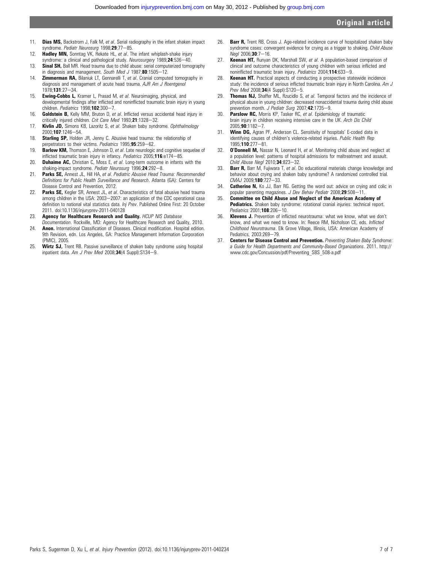- 11. **Dias MS**, Backstrom J, Falk M, et al. Serial radiography in the infant shaken impact syndrome. Pediatr Neurosurg 1998;29:77-85.
- 12. **Hadley MN,** Sonntag VK, Rekate HL, et al. The infant whiplash-shake injury syndrome: a clinical and pathological study. Neurosurgery 1989;24:536-40.
- 13. **Sinal SH**, Ball MR. Head trauma due to child abuse: serial computerized tomography in diagnosis and management. South Med  $J$  1987;80:1505-12.
- 14. **Zimmerman RA,** Bilaniuk LT, Gennarelli T, et al. Cranial computed tomography in diagnosis and management of acute head trauma. AJR Am J Roentgenol 1978;131:27-34
- 15. Ewing-Cobbs L, Kramer L, Prasad M, et al. Neuroimaging, physical, and developmental findings after inflicted and noninflicted traumatic brain injury in young children. Pediatrics 1998;102:300-7.
- 16. Goldstein B, Kelly MM, Bruton D, et al. Inflicted versus accidental head injury in critically injured children. Crit Care Med 1993;21:1328-32.
- 17. **Kivlin JD,** Simons KB, Lazoritz S, et al. Shaken baby syndrome. Ophthalmology  $2000 \cdot 107 \cdot 1246 - 54$
- 18. Starling SP, Holden JR, Jenny C. Abusive head trauma: the relationship of perpetrators to their victims. Pediatrics 1995;95:259-62.
- 19. **Barlow KM,** Thomson E, Johnson D, et al. Late neurologic and cognitive sequelae of inflicted traumatic brain injury in infancy. Pediatrics  $2005;116:e174-85$ .
- 20. **Duhaime AC,** Christian C, Moss E, et al. Long-term outcome in infants with the shaking-impact syndrome. Pediatr Neurosurg 1996;24:292-8.
- 21. Parks SE, Annest JL, Hill HA, et al. Pediatric Abusive Head Trauma: Recommended Definitions for Public Health Surveillance and Research. Atlanta (GA): Centers for Disease Control and Prevention, 2012.
- 22. Parks SE, Kegler SR, Annest JL, et al. Characteristics of fatal abusive head trauma among children in the USA: 2003-2007: an application of the CDC operational case definition to national vital statistics data. Inj Prev. Published Online First: 20 October 2011. doi:10.1136/injuryprev-2011-040128
- 23. Agency for Healthcare Research and Quality. HCUP NIS Database Documentation. Rockville, MD: Agency for Healthcare Research and Quality, 2010.
- 24. **Anon.** International Classification of Diseases. Clinical modification. Hospital edition. 9th Revision, edn. Los Angeles, GA: Practice Management Information Corporation (PMIC), 2005.
- 25. **Wirtz SJ.** Trent RB. Passive surveillance of shaken baby syndrome using hospital inpatient data. Am J Prev Med 2008; 34(4 Suppl):  $S134-9$ .
- 26. **Barr R.** Trent RB, Cross J. Age-related incidence curve of hospitalized shaken baby syndrome cases: convergent evidence for crying as a trigger to shaking. Child Abuse Negl 2006;30:7-16.
- 27. Keenan HT, Runyan DK, Marshall SW, et al. A population-based comparison of clinical and outcome characteristics of young children with serious inflicted and noninflicted traumatic brain injury. Pediatrics 2004;114:633-9.
- 28. Keenan HT. Practical aspects of conducting a prospective statewide incidence study: the incidence of serious inflicted traumatic brain injury in North Carolina. Am J Prev Med 2008;  $34(4 \text{ Suppl})$ :  $$120 - 5$ .
- 29. Thomas NJ, Shaffer ML, Rzucidlo S, et al. Temporal factors and the incidence of physical abuse in young children: decreased nonaccidental trauma during child abuse prevention month. J Pediatr Surg 2007;42:1735-9.
- 30. Parslow RC, Morris KP, Tasker RC, et al. Epidemiology of traumatic brain injury in children receiving intensive care in the UK. Arch Dis Child  $2005:90:1182 - 7$
- 31. Winn DG, Agran PF, Anderson CL. Sensitivity of hospitals' E-coded data in identifying causes of children's violence-related injuries. Public Health Rep 1995;110:277-81.
- 32. **O'Donnell M,** Nassar N, Leonard H, et al. Monitoring child abuse and neglect at a population level: patterns of hospital admissions for maltreatment and assault. Child Abuse Neal  $2010:34:823-32$ .
- 33. Barr R, Barr M, Fujiwara T, et al. Do educational materials change knowledge and behavior about crying and shaken baby syndrome? A randomized controlled trial.  $CMAJ$  2009;180:727-33.
- **Catherine N, Ko JJ, Barr RG. Getting the word out: advice on crying and colic in** popular parenting magazines. J Dev Behav Pediatr 2008;29:508-11.
- 35. Committee on Child Abuse and Neglect of the American Academy of Pediatrics. Shaken baby syndrome: rotational cranial injuries: technical report. Pediatrics 2001;108:206-10.
- 36. Klevens J. Prevention of inflicted neurotrauma: what we know, what we don't know, and what we need to know. In: Reece RM, Nicholson CE, eds. Inflicted Childhood Neurotrauma. Elk Grove Village, Illinois, USA: American Academy of Pediatrics, 2003:269-79.
- 37. Centers for Disease Control and Prevention. Preventing Shaken Baby Syndrome: a Guide for Health Departments and Community-Based Organizations. 2011. http:// www.cdc.gov/Concussion/pdf/Preventing\_SBS\_508-a.pdf